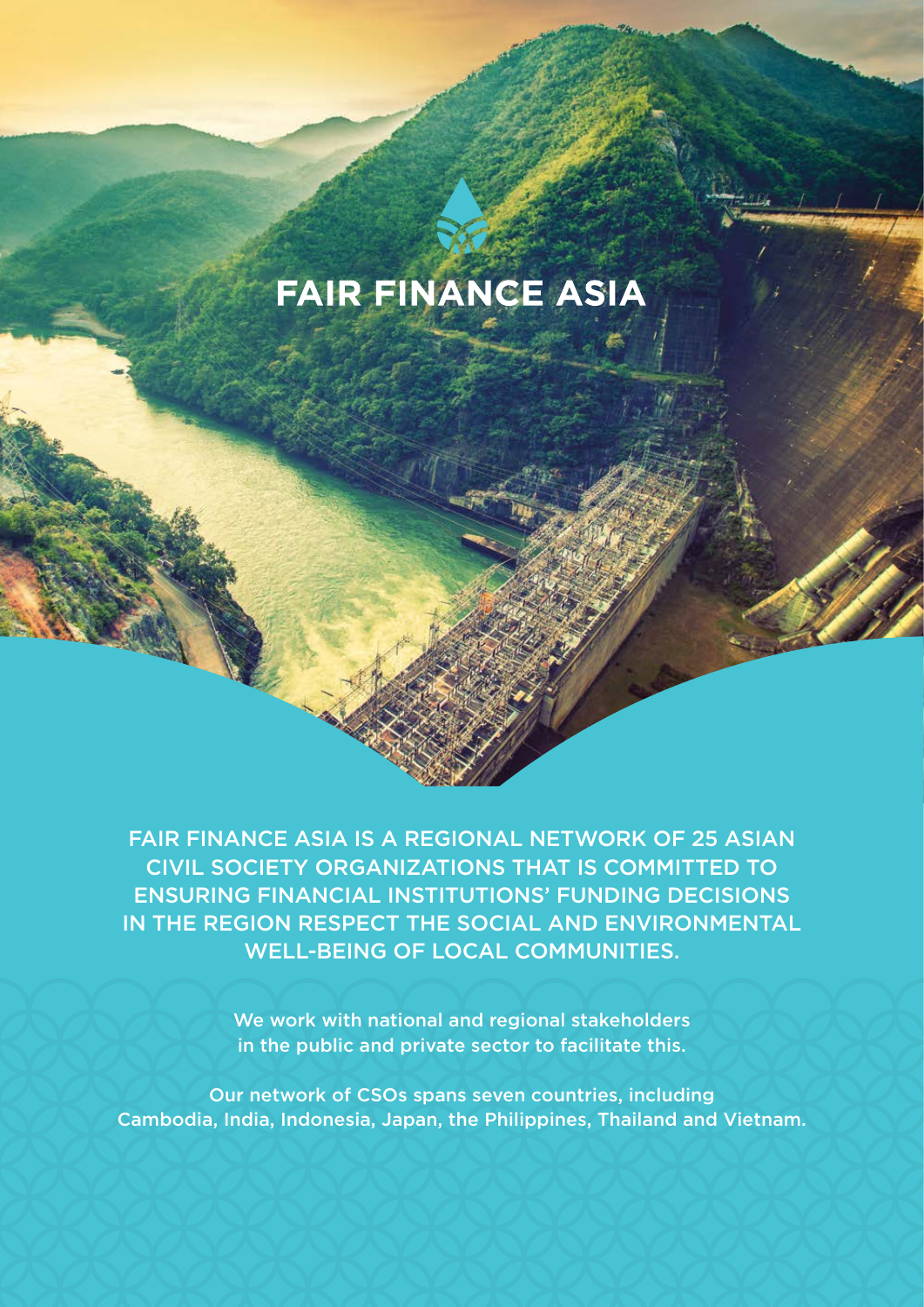# **FAIR FINANCE ASIA**

FAIR FINANCE ASIA IS A REGIONAL NETWORK OF 25 ASIAN CIVIL SOCIETY ORGANIZATIONS THAT IS COMMITTED TO ENSURING FINANCIAL INSTITUTIONS' FUNDING DECISIONS IN THE REGION RESPECT THE SOCIAL AND ENVIRONMENTAL WELL-BEING OF LOCAL COMMUNITIES.

> We work with national and regional stakeholders in the public and private sector to facilitate this.

Our network of CSOs spans seven countries, including Cambodia, India, Indonesia, Japan, the Philippines, Thailand and Vietnam.